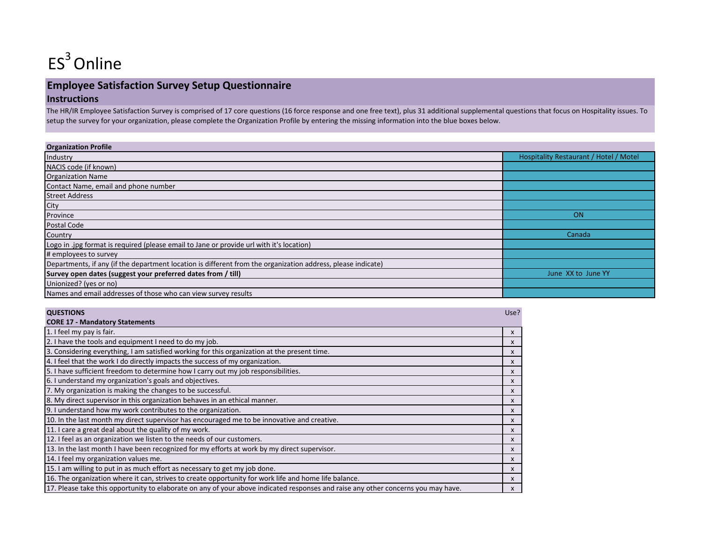

# **Employee Satisfaction Survey Setup Questionnaire Instructions**

The HR/IR Employee Satisfaction Survey is comprised of 17 core questions (16 force response and one free text), plus 31 additional supplemental questions that focus on Hospitality issues. To setup the survey for your organization, please complete the Organization Profile by entering the missing information into the blue boxes below.

| <b>Organization Profile</b>                                                                                  |                                        |
|--------------------------------------------------------------------------------------------------------------|----------------------------------------|
| Industry                                                                                                     | Hospitality Restaurant / Hotel / Motel |
| NACIS code (if known)                                                                                        |                                        |
| <b>Organization Name</b>                                                                                     |                                        |
| Contact Name, email and phone number                                                                         |                                        |
| <b>Street Address</b>                                                                                        |                                        |
| City                                                                                                         |                                        |
| Province                                                                                                     | <b>ON</b>                              |
| Postal Code                                                                                                  |                                        |
| Country                                                                                                      | Canada                                 |
| Logo in .jpg format is required (please email to Jane or provide url with it's location)                     |                                        |
| # employees to survey                                                                                        |                                        |
| Departments, if any (if the department location is different from the organization address, please indicate) |                                        |
| Survey open dates (suggest your preferred dates from / till)                                                 | June XX to June YY                     |
| Unionized? (yes or no)                                                                                       |                                        |
| Names and email addresses of those who can view survey results                                               |                                        |

| <b>QUESTIONS</b>                                                                                                                  | Use?                      |
|-----------------------------------------------------------------------------------------------------------------------------------|---------------------------|
| <b>CORE 17 - Mandatory Statements</b>                                                                                             |                           |
| 1. I feel my pay is fair.                                                                                                         | X                         |
| 2. I have the tools and equipment I need to do my job.                                                                            | $\mathsf{x}$              |
| 3. Considering everything, I am satisfied working for this organization at the present time.                                      | X                         |
| 4. I feel that the work I do directly impacts the success of my organization.                                                     | X                         |
| 5. I have sufficient freedom to determine how I carry out my job responsibilities.                                                | X                         |
| 6. I understand my organization's goals and objectives.                                                                           | $\boldsymbol{\mathsf{x}}$ |
| 7. My organization is making the changes to be successful.                                                                        | X                         |
| 8. My direct supervisor in this organization behaves in an ethical manner.                                                        | X                         |
| 9. I understand how my work contributes to the organization.                                                                      | X                         |
| 10. In the last month my direct supervisor has encouraged me to be innovative and creative.                                       | X                         |
| 11. I care a great deal about the quality of my work.                                                                             | X                         |
| 12. I feel as an organization we listen to the needs of our customers.                                                            | X                         |
| 13. In the last month I have been recognized for my efforts at work by my direct supervisor.                                      | X                         |
| 14. I feel my organization values me.                                                                                             | X                         |
| 15. I am willing to put in as much effort as necessary to get my job done.                                                        | X                         |
| 16. The organization where it can, strives to create opportunity for work life and home life balance.                             | X                         |
| 17. Please take this opportunity to elaborate on any of your above indicated responses and raise any other concerns you may have. | X                         |